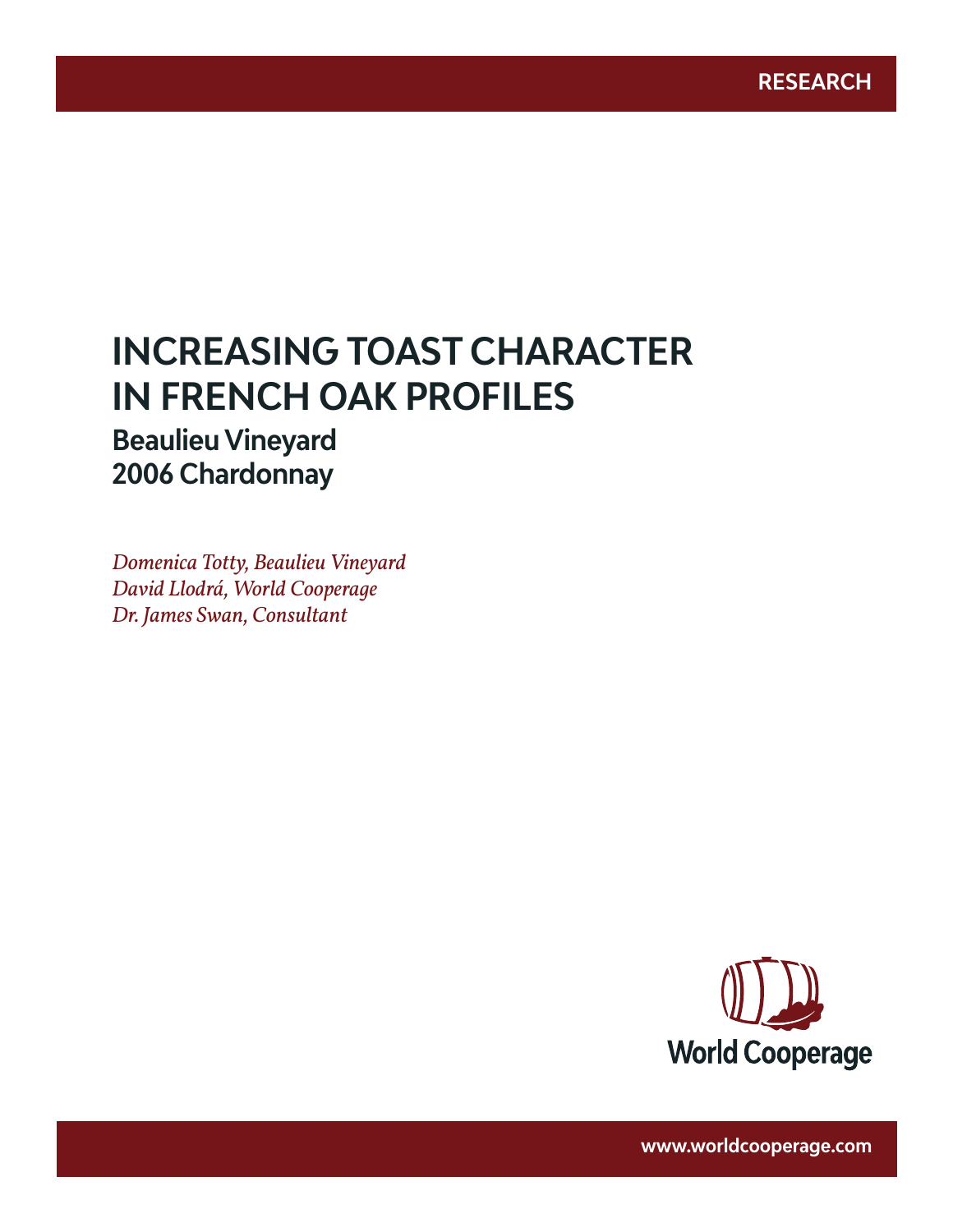# **INCREASING TOAST CHARACTER IN FRENCH OAK PROFILES Beaulieu Vineyard 2006 Chardonnay**

www.worldcooperage.com *Increasing Toast Character in French Oak Profiles* **1** 

*Domenica Totty, Beaulieu Vineyard David Llodrá, World Cooperage Dr. James Swan, Consultant*



**www.worldcooperage.com**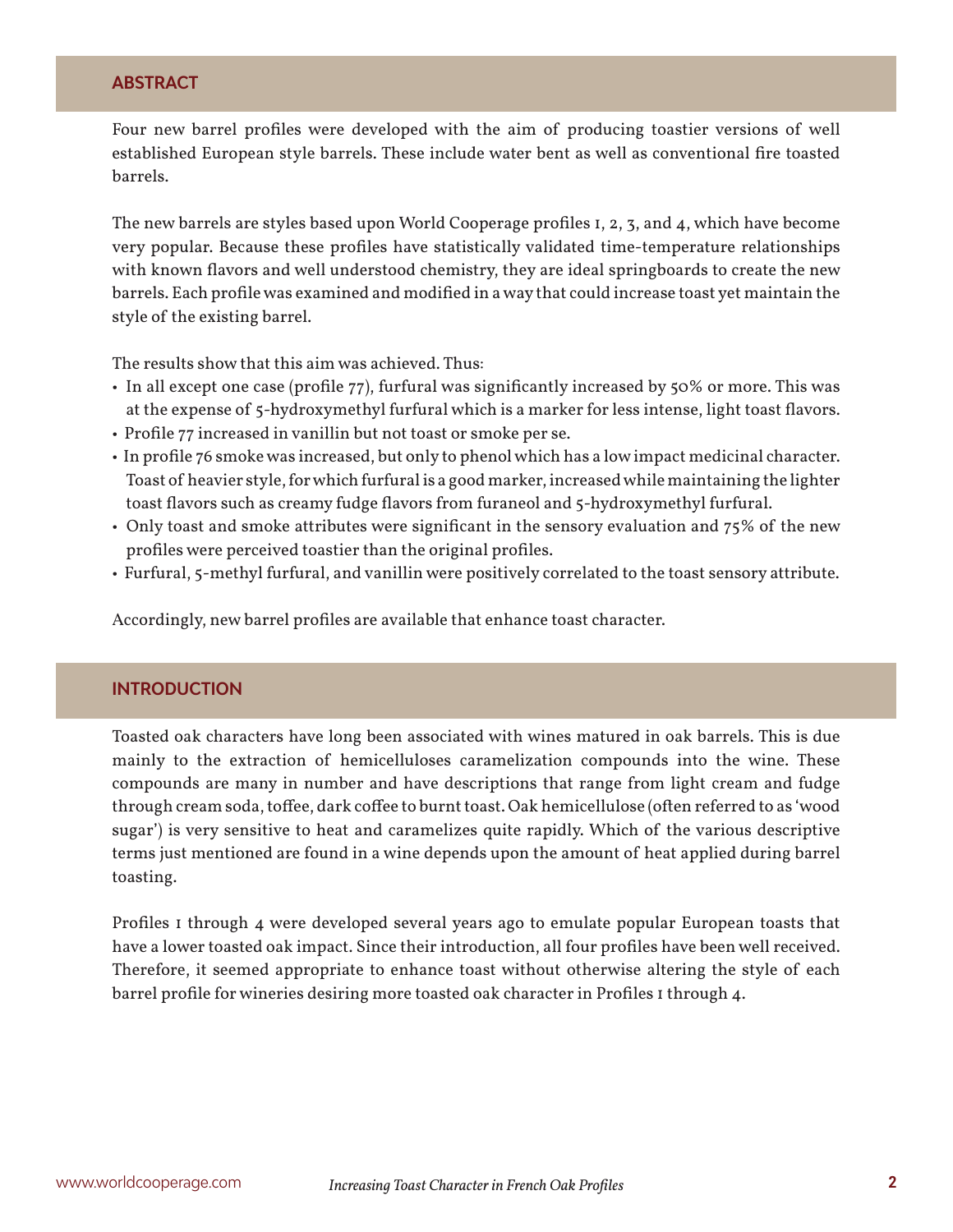## **ABSTRACT**

Four new barrel profiles were developed with the aim of producing toastier versions of well established European style barrels. These include water bent as well as conventional fire toasted barrels.

The new barrels are styles based upon World Cooperage profiles 1, 2, 3, and 4, which have become very popular. Because these profiles have statistically validated time-temperature relationships with known flavors and well understood chemistry, they are ideal springboards to create the new barrels. Each profile was examined and modified in a way that could increase toast yet maintain the style of the existing barrel.

The results show that this aim was achieved. Thus:

- In all except one case (profile 77), furfural was significantly increased by 50% or more. This was at the expense of 5-hydroxymethyl furfural which is a marker for less intense, light toast flavors.
- Profile 77 increased in vanillin but not toast or smoke per se.
- In profile 76 smoke was increased, but only to phenol which has a low impact medicinal character. Toast of heavier style, for which furfural is a good marker, increased while maintaining the lighter toast flavors such as creamy fudge flavors from furaneol and 5-hydroxymethyl furfural.
- Only toast and smoke attributes were significant in the sensory evaluation and 75% of the new profiles were perceived toastier than the original profiles.
- Furfural, 5-methyl furfural, and vanillin were positively correlated to the toast sensory attribute.

Accordingly, new barrel profiles are available that enhance toast character.

### **INTRODUCTION**

Toasted oak characters have long been associated with wines matured in oak barrels. This is due mainly to the extraction of hemicelluloses caramelization compounds into the wine. These compounds are many in number and have descriptions that range from light cream and fudge through cream soda, toffee, dark coffee to burnt toast. Oak hemicellulose (often referred to as 'wood sugar') is very sensitive to heat and caramelizes quite rapidly. Which of the various descriptive terms just mentioned are found in a wine depends upon the amount of heat applied during barrel toasting.

Profiles 1 through 4 were developed several years ago to emulate popular European toasts that have a lower toasted oak impact. Since their introduction, all four profiles have been well received. Therefore, it seemed appropriate to enhance toast without otherwise altering the style of each barrel profile for wineries desiring more toasted oak character in Profiles 1 through 4.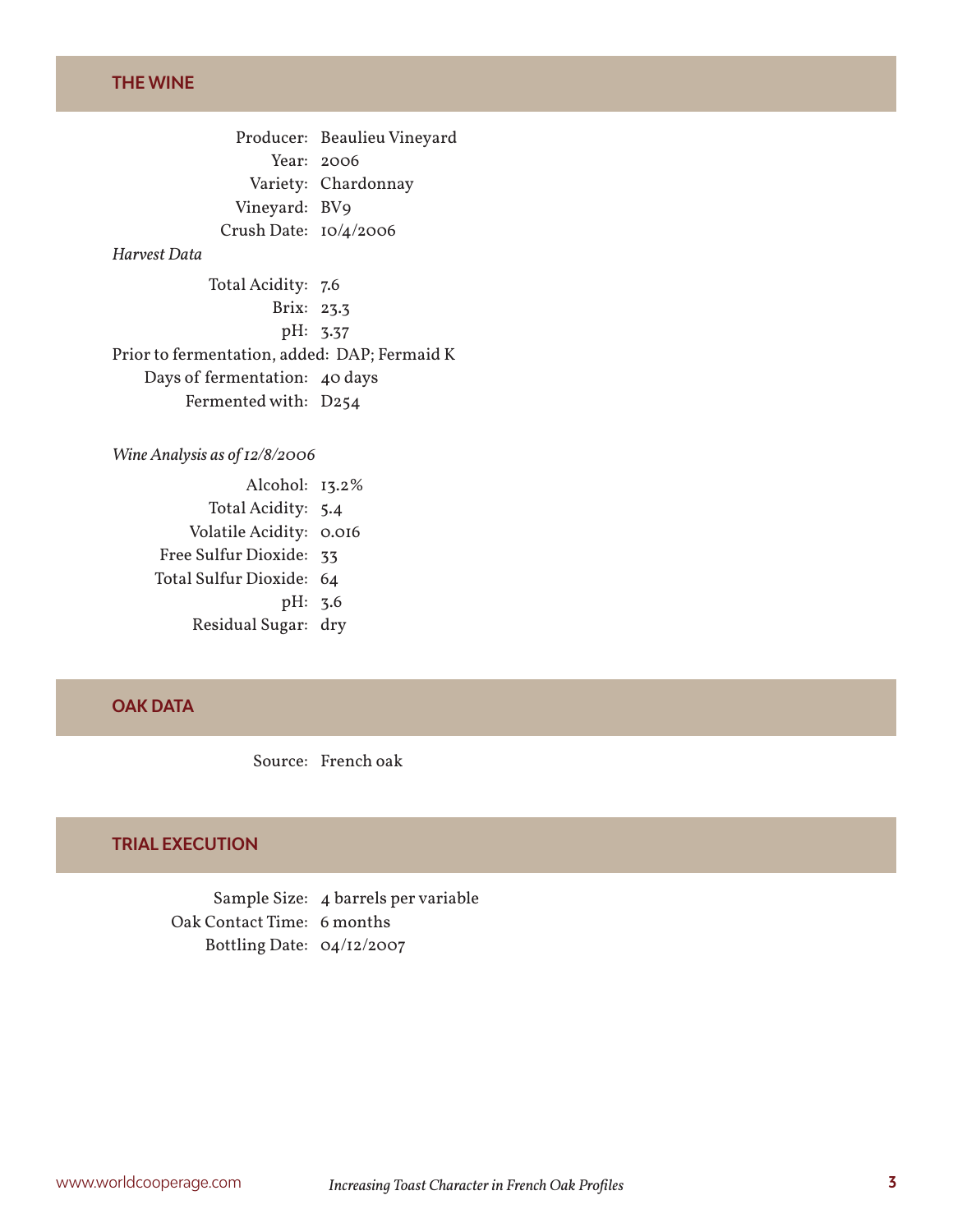#### **THE WINE**

Producer: Beaulieu Vineyard Year: 2006 Variety: Chardonnay Vineyard: BV9 Crush Date: 10/4/2006

### *Harvest Data*

Total Acidity: 7.6 Brix: 23.3 pH: 3.37 Prior to fermentation, added: DAP; Fermaid K Days of fermentation: 40 days Fermented with: D254

*Wine Analysis as of 12/8/2006*

Alcohol: 13.2% Total Acidity: 5.4 Volatile Acidity: 0.016 Free Sulfur Dioxide: 33 Total Sulfur Dioxide: 64 pH: 3.6 Residual Sugar: dry

## **OAK DATA**

Source: French oak

#### **TRIAL EXECUTION**

Sample Size: 4 barrels per variable Oak Contact Time: 6 months Bottling Date: 04/12/2007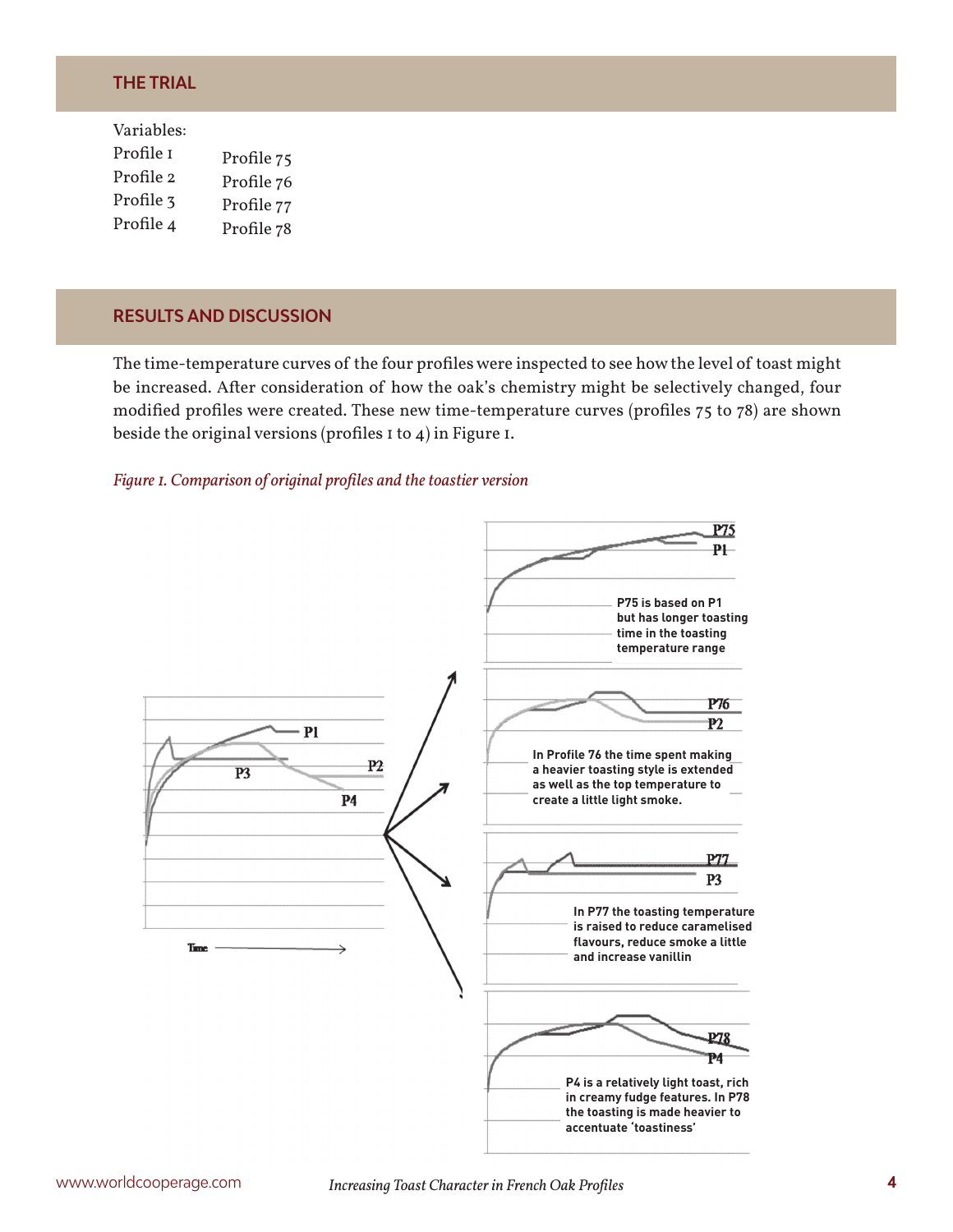#### **THE TRIAL**

## Variables:

| Profile I | Profile 75 |
|-----------|------------|
| Profile 2 | Profile 76 |
| Profile 3 | Profile 77 |
| Profile 4 | Profile 78 |

### **RESULTS AND DISCUSSION**

The time-temperature curves of the four profiles were inspected to see how the level of toast might be increased. After consideration of how the oak's chemistry might be selectively changed, four modified profiles were created. These new time-temperature curves (profiles 75 to 78) are shown beside the original versions (profiles 1 to 4) in Figure 1.



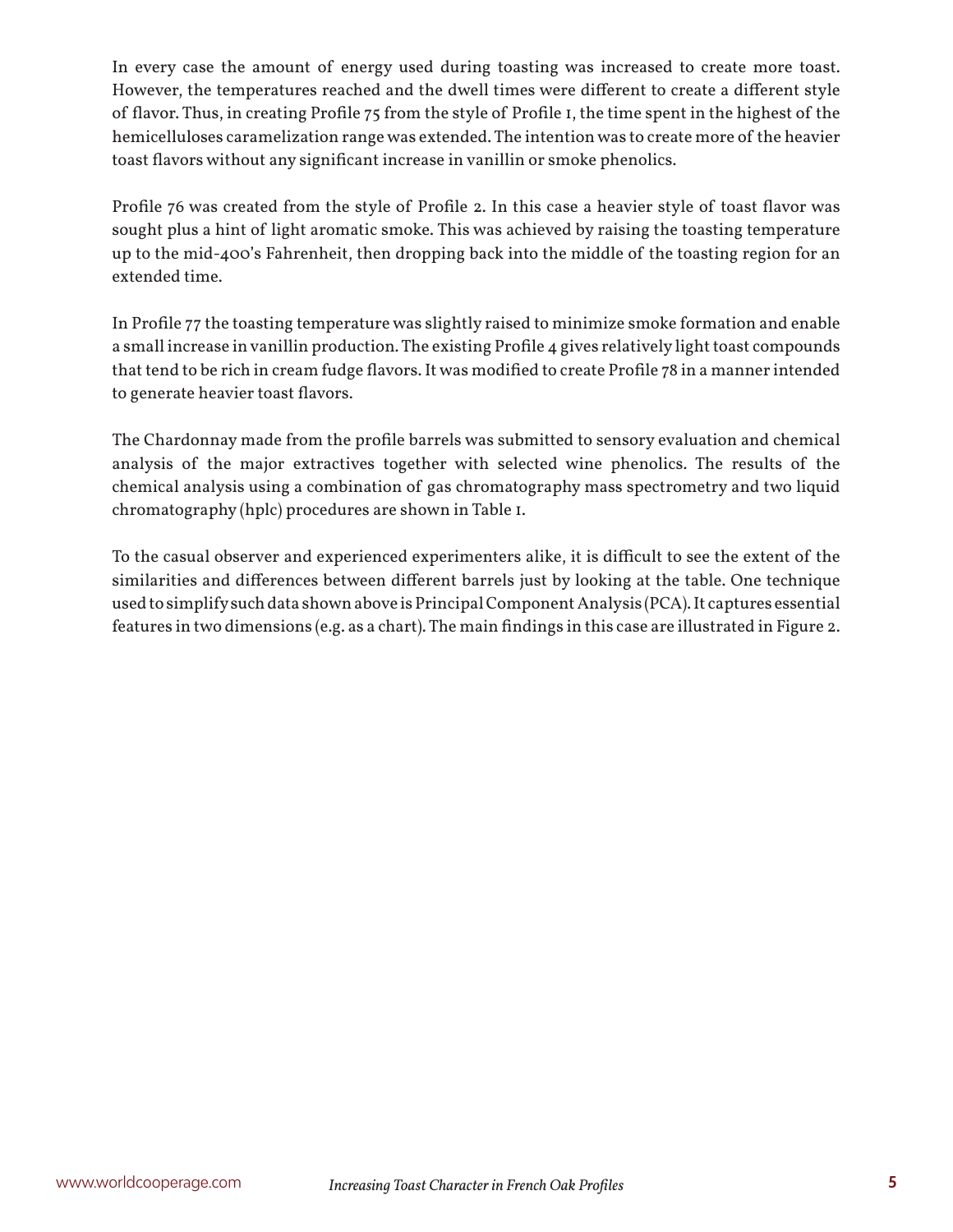In every case the amount of energy used during toasting was increased to create more toast. However, the temperatures reached and the dwell times were different to create a different style of flavor. Thus, in creating Profile 75 from the style of Profile 1, the time spent in the highest of the hemicelluloses caramelization range was extended. The intention was to create more of the heavier toast flavors without any significant increase in vanillin or smoke phenolics.

Profile 76 was created from the style of Profile 2. In this case a heavier style of toast flavor was sought plus a hint of light aromatic smoke. This was achieved by raising the toasting temperature up to the mid-400's Fahrenheit, then dropping back into the middle of the toasting region for an extended time.

In Profile 77 the toasting temperature was slightly raised to minimize smoke formation and enable a small increase in vanillin production. The existing Profile 4 gives relatively light toast compounds that tend to be rich in cream fudge flavors. It was modified to create Profile 78 in a manner intended to generate heavier toast flavors.

The Chardonnay made from the profile barrels was submitted to sensory evaluation and chemical analysis of the major extractives together with selected wine phenolics. The results of the chemical analysis using a combination of gas chromatography mass spectrometry and two liquid chromatography (hplc) procedures are shown in Table 1.

To the casual observer and experienced experimenters alike, it is difficult to see the extent of the similarities and differences between different barrels just by looking at the table. One technique used to simplify such data shown above is Principal Component Analysis (PCA). It captures essential features in two dimensions (e.g. as a chart). The main findings in this case are illustrated in Figure 2.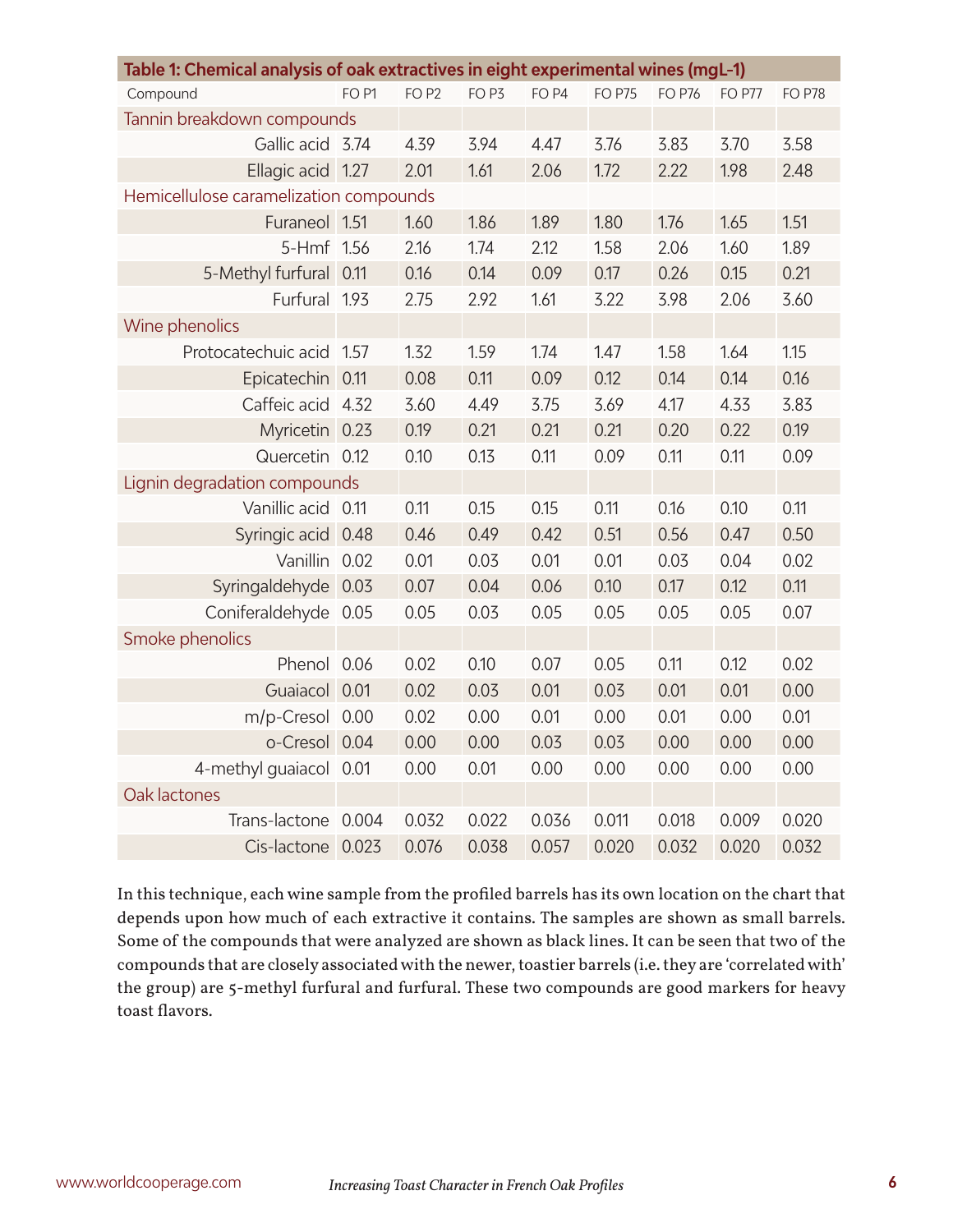| Table 1: Chemical analysis of oak extractives in eight experimental wines (mgL-1) |                  |                  |                  |                  |               |               |               |               |
|-----------------------------------------------------------------------------------|------------------|------------------|------------------|------------------|---------------|---------------|---------------|---------------|
| Compound                                                                          | FO <sub>P1</sub> | FO <sub>P2</sub> | FO <sub>P3</sub> | FO <sub>P4</sub> | <b>FO P75</b> | <b>FO P76</b> | <b>FO P77</b> | <b>FO P78</b> |
| Tannin breakdown compounds                                                        |                  |                  |                  |                  |               |               |               |               |
| Gallic acid 3.74                                                                  |                  | 4.39             | 3.94             | 4.47             | 3.76          | 3.83          | 3.70          | 3.58          |
| Ellagic acid 1.27                                                                 |                  | 2.01             | 1.61             | 2.06             | 1.72          | 2.22          | 1.98          | 2.48          |
| Hemicellulose caramelization compounds                                            |                  |                  |                  |                  |               |               |               |               |
| Furaneol 1.51                                                                     |                  | 1.60             | 1.86             | 1.89             | 1.80          | 1.76          | 1.65          | 1.51          |
| 5-Hmf                                                                             | 1.56             | 2.16             | 1.74             | 2.12             | 1.58          | 2.06          | 1.60          | 1.89          |
| 5-Methyl furfural 0.11                                                            |                  | 0.16             | 0.14             | 0.09             | 0.17          | 0.26          | 0.15          | 0.21          |
| Furfural                                                                          | 1.93             | 2.75             | 2.92             | 1.61             | 3.22          | 3.98          | 2.06          | 3.60          |
| Wine phenolics                                                                    |                  |                  |                  |                  |               |               |               |               |
| Protocatechuic acid                                                               | 1.57             | 1.32             | 1.59             | 1.74             | 1.47          | 1.58          | 1.64          | 1.15          |
| Epicatechin                                                                       | 0.11             | 0.08             | 0.11             | 0.09             | 0.12          | 0.14          | 0.14          | 0.16          |
| Caffeic acid                                                                      | 4.32             | 3.60             | 4.49             | 3.75             | 3.69          | 4.17          | 4.33          | 3.83          |
| Myricetin 0.23                                                                    |                  | 0.19             | 0.21             | 0.21             | 0.21          | 0.20          | 0.22          | 0.19          |
| Quercetin 0.12                                                                    |                  | 0.10             | 0.13             | 0.11             | 0.09          | 0.11          | 0.11          | 0.09          |
| Lignin degradation compounds                                                      |                  |                  |                  |                  |               |               |               |               |
| Vanillic acid 0.11                                                                |                  | 0.11             | 0.15             | 0.15             | 0.11          | 0.16          | 0.10          | 0.11          |
| Syringic acid 0.48                                                                |                  | 0.46             | 0.49             | 0.42             | 0.51          | 0.56          | 0.47          | 0.50          |
| Vanillin                                                                          | 0.02             | 0.01             | 0.03             | 0.01             | 0.01          | 0.03          | 0.04          | 0.02          |
| Syringaldehyde                                                                    | 0.03             | 0.07             | 0.04             | 0.06             | 0.10          | 0.17          | 0.12          | 0.11          |
| Coniferaldehyde 0.05                                                              |                  | 0.05             | 0.03             | 0.05             | 0.05          | 0.05          | 0.05          | 0.07          |
| Smoke phenolics                                                                   |                  |                  |                  |                  |               |               |               |               |
| Phenol                                                                            | 0.06             | 0.02             | 0.10             | 0.07             | 0.05          | 0.11          | 0.12          | 0.02          |
| Guaiacol                                                                          | 0.01             | 0.02             | 0.03             | 0.01             | 0.03          | 0.01          | 0.01          | 0.00          |
| m/p-Cresol 0.00                                                                   |                  | 0.02             | 0.00             | 0.01             | 0.00          | 0.01          | 0.00          | 0.01          |
| o-Cresol 0.04                                                                     |                  | 0.00             | 0.00             | 0.03             | 0.03          | 0.00          | 0.00          | 0.00          |
| 4-methyl guaiacol 0.01                                                            |                  | 0.00             | 0.01             | 0.00             | 0.00          | 0.00          | 0.00          | 0.00          |
| Oak lactones                                                                      |                  |                  |                  |                  |               |               |               |               |
| Trans-lactone                                                                     | 0.004            | 0.032            | 0.022            | 0.036            | 0.011         | 0.018         | 0.009         | 0.020         |
| Cis-lactone                                                                       | 0.023            | 0.076            | 0.038            | 0.057            | 0.020         | 0.032         | 0.020         | 0.032         |

In this technique, each wine sample from the profiled barrels has its own location on the chart that depends upon how much of each extractive it contains. The samples are shown as small barrels. Some of the compounds that were analyzed are shown as black lines. It can be seen that two of the compounds that are closely associated with the newer, toastier barrels (i.e. they are 'correlated with' the group) are 5-methyl furfural and furfural. These two compounds are good markers for heavy toast flavors.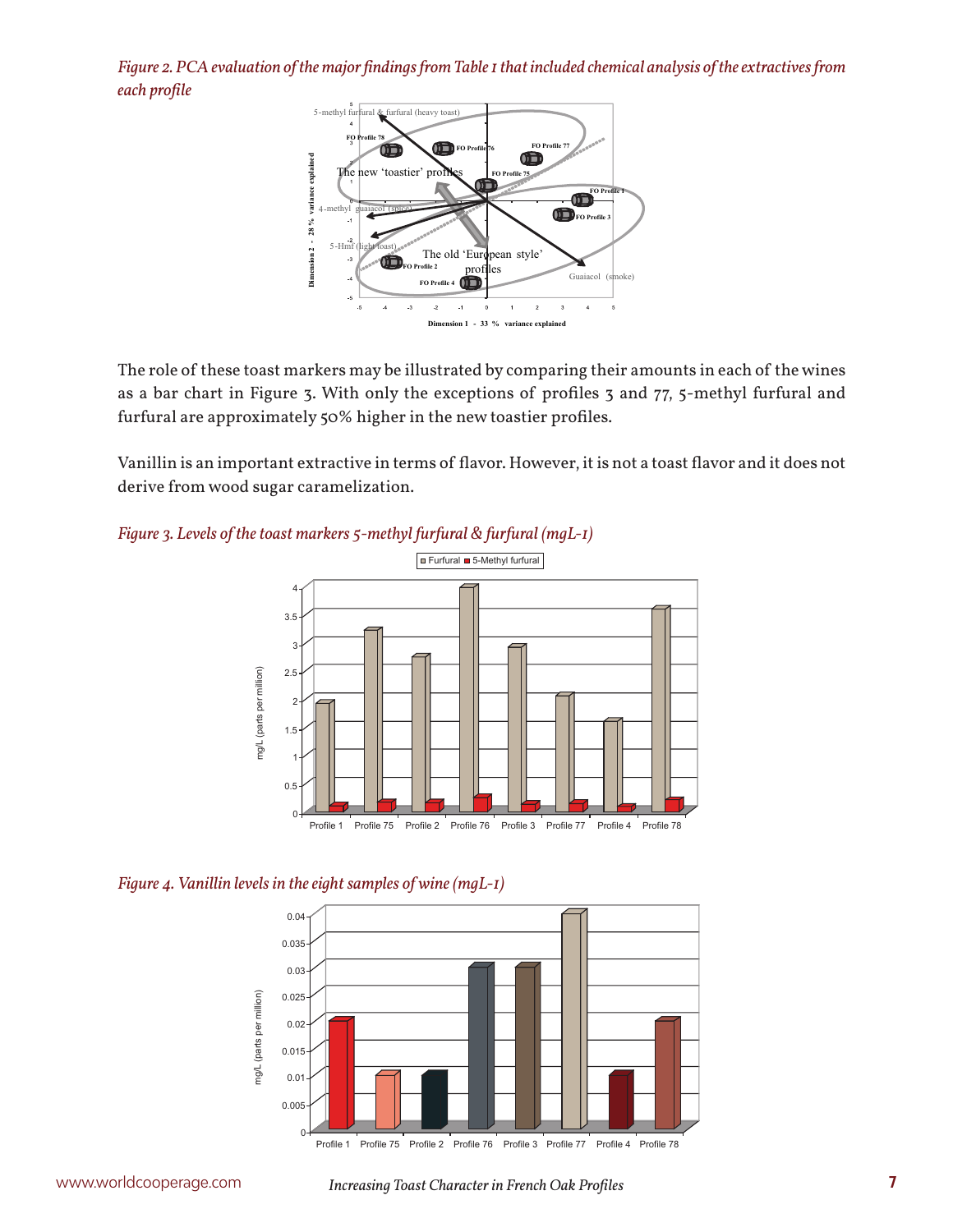*Figure 2. PCA evaluation of the major findings from Table 1 that included chemical analysis of the extractives from each profile*



The role of these toast markers may be illustrated by comparing their amounts in each of the wines as a bar chart in Figure 3. With only the exceptions of profiles 3 and 77, 5-methyl furfural and furfural are approximately 50% higher in the new toastier profiles.

Vanillin is an important extractive in terms of flavor. However, it is not a toast flavor and it does not derive from wood sugar caramelization.



## *Figure 3. Levels of the toast markers 5-methyl furfural & furfural (mgL-1)*

Figure 4. Vanillin levels in the eight samples of wine (mgL-1)

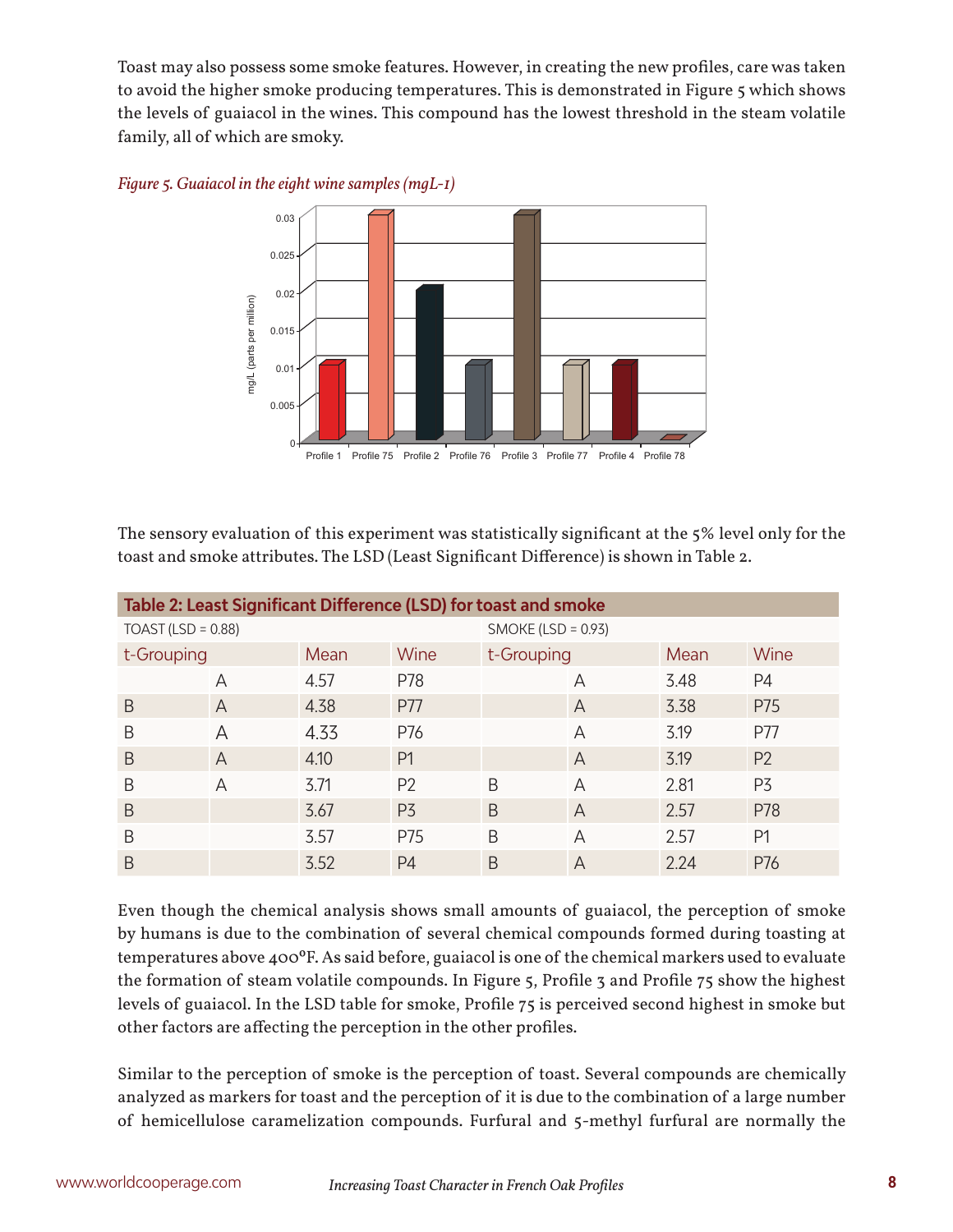Toast may also possess some smoke features. However, in creating the new profiles, care was taken to avoid the higher smoke producing temperatures. This is demonstrated in Figure 5 which shows the levels of guaiacol in the wines. This compound has the lowest threshold in the steam volatile family, all of which are smoky.



*Figure 5. Guaiacol in the eight wine samples (mgL-1)*

The sensory evaluation of this experiment was statistically significant at the 5% level only for the toast and smoke attributes. The LSD (Least Significant Difference) is shown in Table 2.

| Table 2: Least Significant Difference (LSD) for toast and smoke |                |      |                       |              |                |      |                |
|-----------------------------------------------------------------|----------------|------|-----------------------|--------------|----------------|------|----------------|
| TOAST (LSD = $0.88$ )                                           |                |      | SMOKE (LSD = $0.93$ ) |              |                |      |                |
| t-Grouping                                                      |                | Mean | Wine                  | t-Grouping   |                | Mean | Wine           |
|                                                                 | А              | 4.57 | P78                   |              | А              | 3.48 | P <sub>4</sub> |
| B                                                               | A              | 4.38 | <b>P77</b>            |              | A              | 3.38 | P75            |
| B                                                               | A              | 4.33 | P76                   |              | А              | 3.19 | P77            |
| B                                                               | $\overline{A}$ | 4.10 | P <sub>1</sub>        |              | $\overline{A}$ | 3.19 | P <sub>2</sub> |
| B                                                               | A              | 3.71 | P <sub>2</sub>        | B            | A              | 2.81 | P <sub>3</sub> |
| B                                                               |                | 3.67 | P <sub>3</sub>        | <sub>B</sub> | $\overline{A}$ | 2.57 | P78            |
| B                                                               |                | 3.57 | P75                   | B            | A              | 2.57 | P <sub>1</sub> |
| B                                                               |                | 3.52 | P4                    | B            | А              | 2.24 | P76            |

Even though the chemical analysis shows small amounts of guaiacol, the perception of smoke by humans is due to the combination of several chemical compounds formed during toasting at temperatures above 400ºF. As said before, guaiacol is one of the chemical markers used to evaluate the formation of steam volatile compounds. In Figure 5, Profile 3 and Profile 75 show the highest levels of guaiacol. In the LSD table for smoke, Profile 75 is perceived second highest in smoke but other factors are affecting the perception in the other profiles.

Similar to the perception of smoke is the perception of toast. Several compounds are chemically analyzed as markers for toast and the perception of it is due to the combination of a large number of hemicellulose caramelization compounds. Furfural and 5-methyl furfural are normally the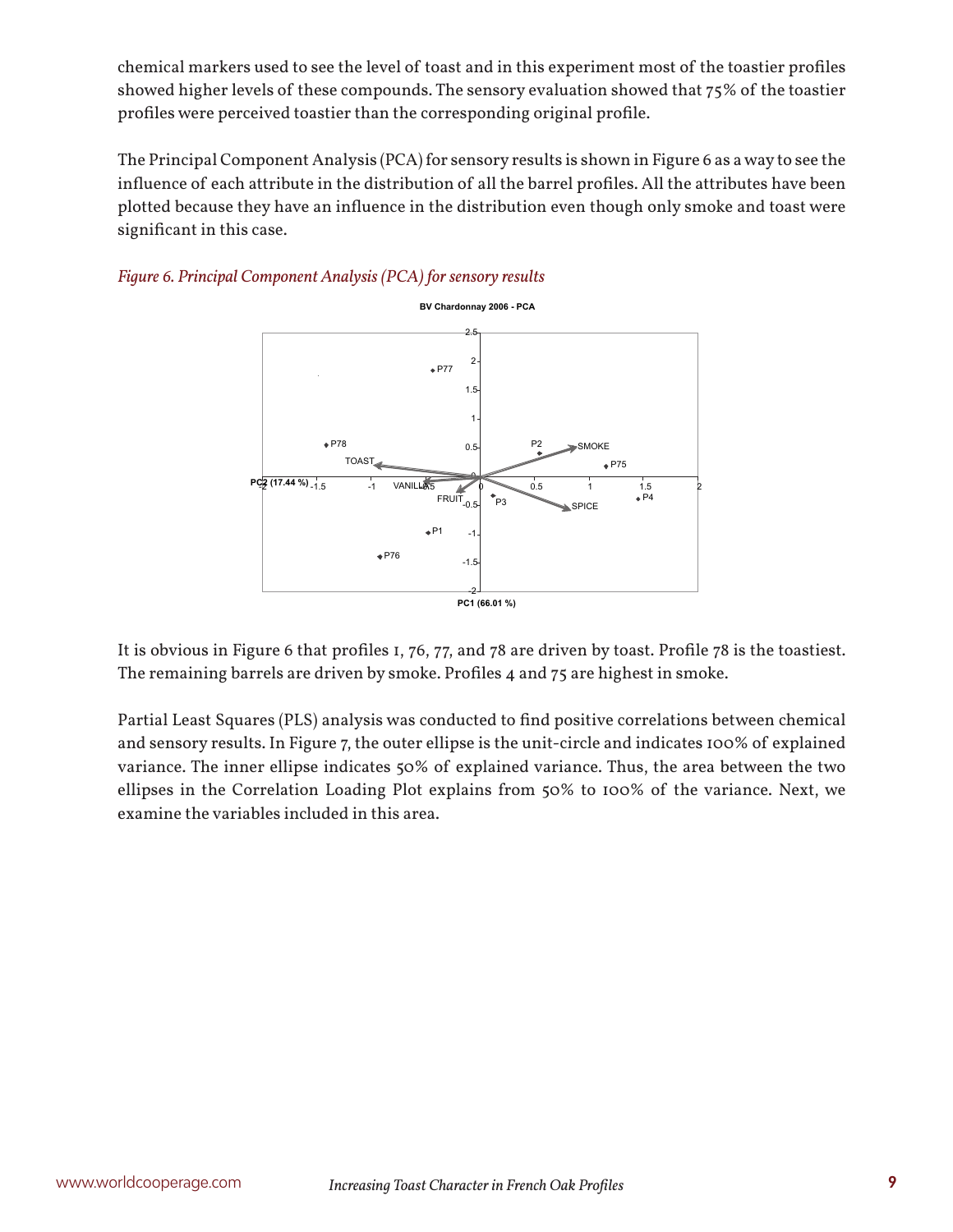chemical markers used to see the level of toast and in this experiment most of the toastier profiles showed higher levels of these compounds. The sensory evaluation showed that 75% of the toastier profiles were perceived toastier than the corresponding original profile.

The Principal Component Analysis (PCA) for sensory results is shown in Figure 6 as a way to see the influence of each attribute in the distribution of all the barrel profiles. All the attributes have been plotted because they have an influence in the distribution even though only smoke and toast were significant in this case.





It is obvious in Figure 6 that profiles 1, 76, 77, and 78 are driven by toast. Profile 78 is the toastiest. The remaining barrels are driven by smoke. Profiles 4 and 75 are highest in smoke.

Partial Least Squares (PLS) analysis was conducted to find positive correlations between chemical and sensory results. In Figure 7, the outer ellipse is the unit-circle and indicates 100% of explained variance. The inner ellipse indicates 50% of explained variance. Thus, the area between the two ellipses in the Correlation Loading Plot explains from 50% to 100% of the variance. Next, we examine the variables included in this area.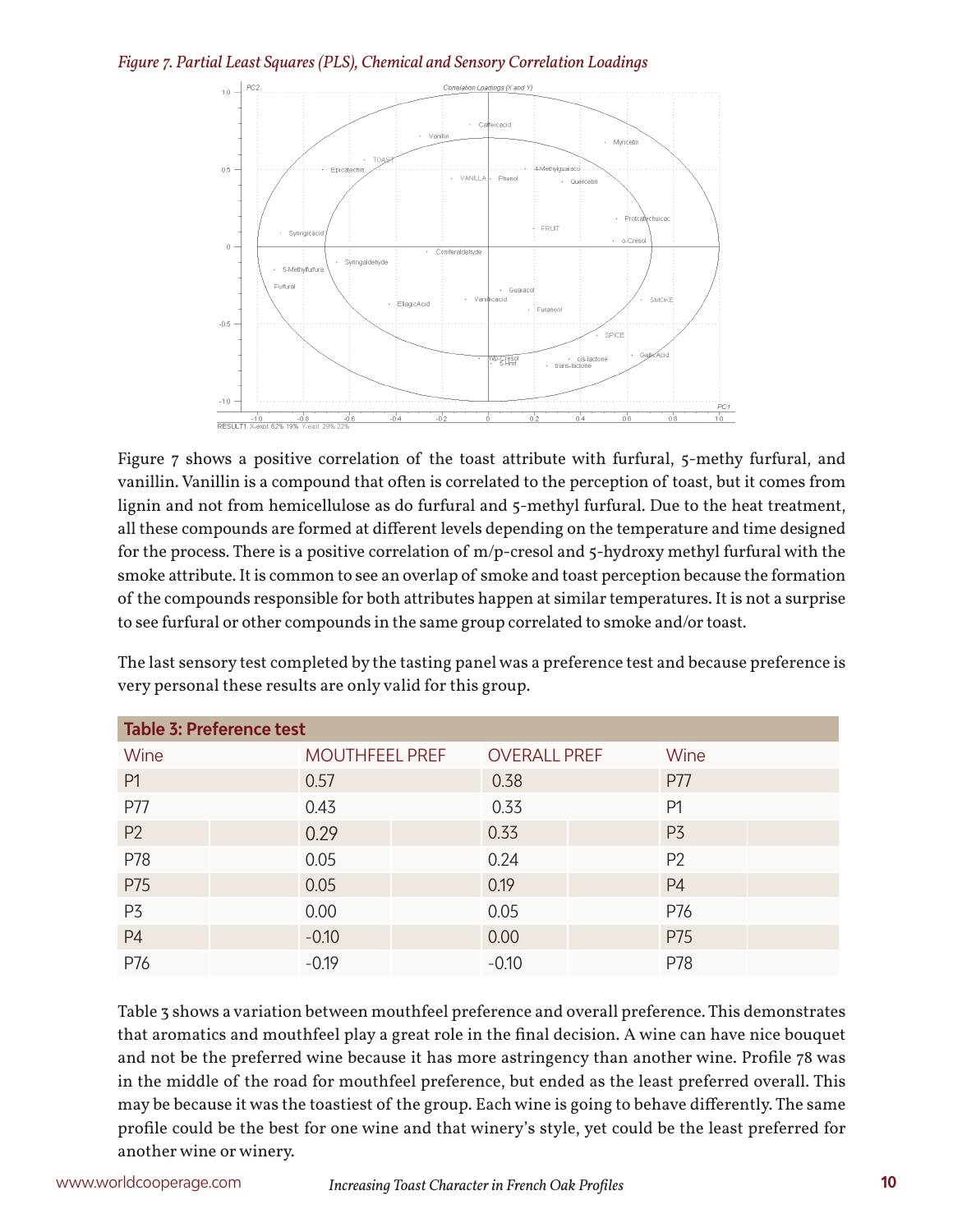*Figure 7. Partial Least Squares (PLS), Chemical and Sensory Correlation Loadings*



Figure 7 shows a positive correlation of the toast attribute with furfural, 5-methy furfural, and vanillin. Vanillin is a compound that often is correlated to the perception of toast, but it comes from lignin and not from hemicellulose as do furfural and 5-methyl furfural. Due to the heat treatment, all these compounds are formed at different levels depending on the temperature and time designed for the process. There is a positive correlation of  $m/p$ -cresol and  $5$ -hydroxy methyl furfural with the smoke attribute. It is common to see an overlap of smoke and toast perception because the formation of the compounds responsible for both attributes happen at similar temperatures. It is not a surprise to see furfural or other compounds in the same group correlated to smoke and/or toast.

| <b>Table 3: Preference test</b> |  |                       |  |                     |  |                |  |
|---------------------------------|--|-----------------------|--|---------------------|--|----------------|--|
| Wine                            |  | <b>MOUTHFEEL PREF</b> |  | <b>OVERALL PREF</b> |  | Wine           |  |
| P <sub>1</sub>                  |  | 0.57                  |  | 0.38                |  | P77            |  |
| <b>P77</b>                      |  | 0.43                  |  | 0.33                |  | P <sub>1</sub> |  |
| P <sub>2</sub>                  |  | 0.29                  |  | 0.33                |  | P <sub>3</sub> |  |
| P78                             |  | 0.05                  |  | 0.24                |  | P2             |  |
| P75                             |  | 0.05                  |  | 0.19                |  | P <sub>4</sub> |  |
| P <sub>3</sub>                  |  | 0.00                  |  | 0.05                |  | P76            |  |
| P <sub>4</sub>                  |  | $-0.10$               |  | 0.00                |  | P75            |  |
| P76                             |  | $-0.19$               |  | $-0.10$             |  | P78            |  |

The last sensory test completed by the tasting panel was a preference test and because preference is very personal these results are only valid for this group.

Table 3 shows a variation between mouthfeel preference and overall preference. This demonstrates that aromatics and mouthfeel play a great role in the final decision. A wine can have nice bouquet and not be the preferred wine because it has more astringency than another wine. Profile 78 was in the middle of the road for mouthfeel preference, but ended as the least preferred overall. This may be because it was the toastiest of the group. Each wine is going to behave differently. The same profile could be the best for one wine and that winery's style, yet could be the least preferred for another wine or winery.